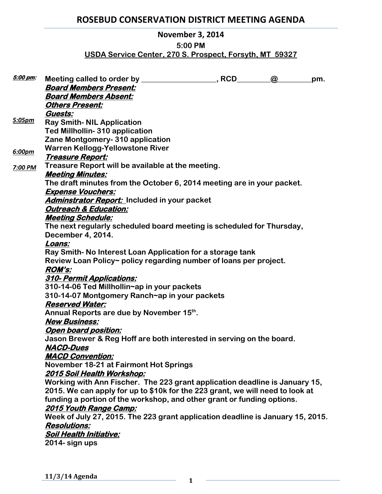# **ROSEBUD CONSERVATION DISTRICT MEETING AGENDA**

### **November 3, 2014**

### **5:00 PM**

# **USDA Service Center, 270 S. Prospect, Forsyth, MT 59327**

| <u>5:00 pm:</u> |                                                                                | , RCD | $\omega$ | pm. |
|-----------------|--------------------------------------------------------------------------------|-------|----------|-----|
|                 | <b>Board Members Present:</b>                                                  |       |          |     |
|                 | <b>Board Members Absent:</b>                                                   |       |          |     |
|                 | <b>Others Present:</b>                                                         |       |          |     |
|                 | Guests:                                                                        |       |          |     |
| 5:05pm          | <b>Ray Smith- NIL Application</b>                                              |       |          |     |
|                 | <b>Ted Millhollin-310 application</b>                                          |       |          |     |
|                 | Zane Montgomery- 310 application                                               |       |          |     |
| 6:00pm          | <b>Warren Kellogg-Yellowstone River</b>                                        |       |          |     |
|                 | <u> Treasure Report:</u>                                                       |       |          |     |
| 7:00 PM         | Treasure Report will be available at the meeting.                              |       |          |     |
|                 | <b>Meeting Minutes:</b>                                                        |       |          |     |
|                 | The draft minutes from the October 6, 2014 meeting are in your packet.         |       |          |     |
|                 | <b>Expense Vouchers:</b>                                                       |       |          |     |
|                 | Adminstrator Report: Included in your packet                                   |       |          |     |
|                 | <b>Outreach &amp; Education:</b>                                               |       |          |     |
|                 | <b>Meeting Schedule:</b>                                                       |       |          |     |
|                 | The next regularly scheduled board meeting is scheduled for Thursday,          |       |          |     |
|                 | December 4, 2014.                                                              |       |          |     |
|                 | Loans:                                                                         |       |          |     |
|                 | Ray Smith-No Interest Loan Application for a storage tank                      |       |          |     |
|                 | Review Loan Policy~ policy regarding number of loans per project.              |       |          |     |
|                 | <b>ROM's:</b>                                                                  |       |          |     |
|                 | 310- Permit Applications:                                                      |       |          |     |
|                 | 310-14-06 Ted Millhollin~ap in your packets                                    |       |          |     |
|                 | 310-14-07 Montgomery Ranch~ap in your packets                                  |       |          |     |
|                 | <b>Reserved Water:</b>                                                         |       |          |     |
|                 | Annual Reports are due by November 15th.                                       |       |          |     |
|                 | <b>New Business:</b>                                                           |       |          |     |
|                 | <b>Open board position:</b>                                                    |       |          |     |
|                 | Jason Brewer & Reg Hoff are both interested in serving on the board.           |       |          |     |
|                 | <b>NACD-Dues</b>                                                               |       |          |     |
|                 | <b>MACD Convention:</b>                                                        |       |          |     |
|                 | November 18-21 at Fairmont Hot Springs                                         |       |          |     |
|                 | <u> 2015 Soil Health Workshop:</u>                                             |       |          |     |
|                 | Working with Ann Fischer. The 223 grant application deadline is January 15,    |       |          |     |
|                 | 2015. We can apply for up to \$10k for the 223 grant, we will need to look at  |       |          |     |
|                 | funding a portion of the workshop, and other grant or funding options.         |       |          |     |
|                 | 2015 Youth Range Camp:                                                         |       |          |     |
|                 | Week of July 27, 2015. The 223 grant application deadline is January 15, 2015. |       |          |     |
|                 | <b>Resolutions:</b>                                                            |       |          |     |
|                 | <b>Soil Health Initiative:</b>                                                 |       |          |     |
|                 | 2014- sign ups                                                                 |       |          |     |
|                 |                                                                                |       |          |     |